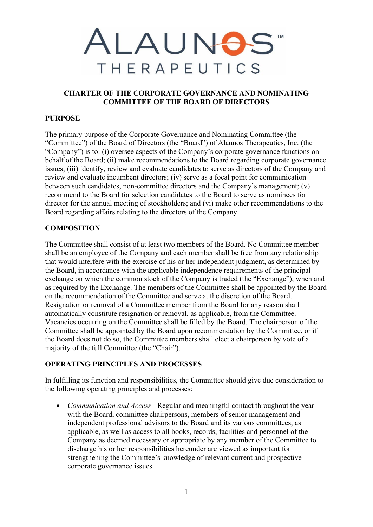# ALAUNOS **THERAPEUTICS**

## **CHARTER OF THE CORPORATE GOVERNANCE AND NOMINATING COMMITTEE OF THE BOARD OF DIRECTORS**

## **PURPOSE**

The primary purpose of the Corporate Governance and Nominating Committee (the "Committee") of the Board of Directors (the "Board") of Alaunos Therapeutics, Inc. (the "Company") is to: (i) oversee aspects of the Company's corporate governance functions on behalf of the Board; (ii) make recommendations to the Board regarding corporate governance issues; (iii) identify, review and evaluate candidates to serve as directors of the Company and review and evaluate incumbent directors; (iv) serve as a focal point for communication between such candidates, non-committee directors and the Company's management; (v) recommend to the Board for selection candidates to the Board to serve as nominees for director for the annual meeting of stockholders; and (vi) make other recommendations to the Board regarding affairs relating to the directors of the Company.

## **COMPOSITION**

The Committee shall consist of at least two members of the Board. No Committee member shall be an employee of the Company and each member shall be free from any relationship that would interfere with the exercise of his or her independent judgment, as determined by the Board, in accordance with the applicable independence requirements of the principal exchange on which the common stock of the Company is traded (the "Exchange"), when and as required by the Exchange. The members of the Committee shall be appointed by the Board on the recommendation of the Committee and serve at the discretion of the Board. Resignation or removal of a Committee member from the Board for any reason shall automatically constitute resignation or removal, as applicable, from the Committee. Vacancies occurring on the Committee shall be filled by the Board. The chairperson of the Committee shall be appointed by the Board upon recommendation by the Committee, or if the Board does not do so, the Committee members shall elect a chairperson by vote of a majority of the full Committee (the "Chair").

## **OPERATING PRINCIPLES AND PROCESSES**

In fulfilling its function and responsibilities, the Committee should give due consideration to the following operating principles and processes:

• *Communication and Access* - Regular and meaningful contact throughout the year with the Board, committee chairpersons, members of senior management and independent professional advisors to the Board and its various committees, as applicable, as well as access to all books, records, facilities and personnel of the Company as deemed necessary or appropriate by any member of the Committee to discharge his or her responsibilities hereunder are viewed as important for strengthening the Committee's knowledge of relevant current and prospective corporate governance issues.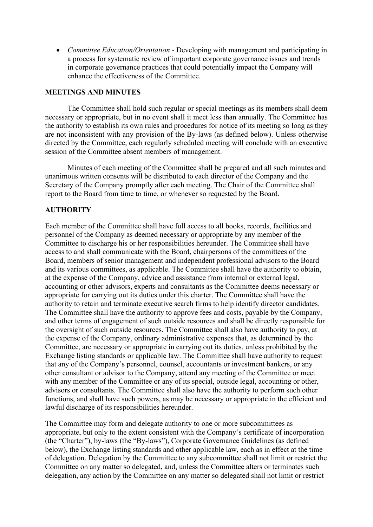• *Committee Education/Orientation* - Developing with management and participating in a process for systematic review of important corporate governance issues and trends in corporate governance practices that could potentially impact the Company will enhance the effectiveness of the Committee.

#### **MEETINGS AND MINUTES**

The Committee shall hold such regular or special meetings as its members shall deem necessary or appropriate, but in no event shall it meet less than annually. The Committee has the authority to establish its own rules and procedures for notice of its meeting so long as they are not inconsistent with any provision of the By-laws (as defined below). Unless otherwise directed by the Committee, each regularly scheduled meeting will conclude with an executive session of the Committee absent members of management.

Minutes of each meeting of the Committee shall be prepared and all such minutes and unanimous written consents will be distributed to each director of the Company and the Secretary of the Company promptly after each meeting. The Chair of the Committee shall report to the Board from time to time, or whenever so requested by the Board.

#### **AUTHORITY**

Each member of the Committee shall have full access to all books, records, facilities and personnel of the Company as deemed necessary or appropriate by any member of the Committee to discharge his or her responsibilities hereunder. The Committee shall have access to and shall communicate with the Board, chairpersons of the committees of the Board, members of senior management and independent professional advisors to the Board and its various committees, as applicable. The Committee shall have the authority to obtain, at the expense of the Company, advice and assistance from internal or external legal, accounting or other advisors, experts and consultants as the Committee deems necessary or appropriate for carrying out its duties under this charter. The Committee shall have the authority to retain and terminate executive search firms to help identify director candidates. The Committee shall have the authority to approve fees and costs, payable by the Company, and other terms of engagement of such outside resources and shall be directly responsible for the oversight of such outside resources. The Committee shall also have authority to pay, at the expense of the Company, ordinary administrative expenses that, as determined by the Committee, are necessary or appropriate in carrying out its duties, unless prohibited by the Exchange listing standards or applicable law. The Committee shall have authority to request that any of the Company's personnel, counsel, accountants or investment bankers, or any other consultant or advisor to the Company, attend any meeting of the Committee or meet with any member of the Committee or any of its special, outside legal, accounting or other, advisors or consultants. The Committee shall also have the authority to perform such other functions, and shall have such powers, as may be necessary or appropriate in the efficient and lawful discharge of its responsibilities hereunder.

The Committee may form and delegate authority to one or more subcommittees as appropriate, but only to the extent consistent with the Company's certificate of incorporation (the "Charter"), by-laws (the "By-laws"), Corporate Governance Guidelines (as defined below), the Exchange listing standards and other applicable law, each as in effect at the time of delegation. Delegation by the Committee to any subcommittee shall not limit or restrict the Committee on any matter so delegated, and, unless the Committee alters or terminates such delegation, any action by the Committee on any matter so delegated shall not limit or restrict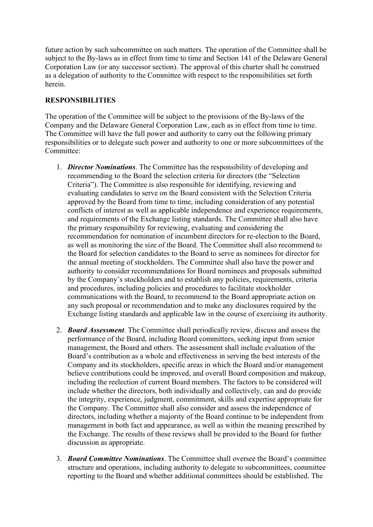future action by such subcommittee on such matters. The operation of the Committee shall be subject to the By-laws as in effect from time to time and Section 141 of the Delaware General Corporation Law (or any successor section). The approval of this charter shall be construed as a delegation of authority to the Committee with respect to the responsibilities set forth herein.

# **RESPONSIBILITIES**

The operation of the Committee will be subject to the provisions of the By-laws of the Company and the Delaware General Corporation Law, each as in effect from time to time. The Committee will have the full power and authority to carry out the following primary responsibilities or to delegate such power and authority to one or more subcommittees of the Committee:

- 1. *Director Nominations*. The Committee has the responsibility of developing and recommending to the Board the selection criteria for directors (the "Selection Criteria"). The Committee is also responsible for identifying, reviewing and evaluating candidates to serve on the Board consistent with the Selection Criteria approved by the Board from time to time, including consideration of any potential conflicts of interest as well as applicable independence and experience requirements, and requirements of the Exchange listing standards. The Committee shall also have the primary responsibility for reviewing, evaluating and considering the recommendation for nomination of incumbent directors for re-election to the Board, as well as monitoring the size of the Board. The Committee shall also recommend to the Board for selection candidates to the Board to serve as nominees for director for the annual meeting of stockholders. The Committee shall also have the power and authority to consider recommendations for Board nominees and proposals submitted by the Company's stockholders and to establish any policies, requirements, criteria and procedures, including policies and procedures to facilitate stockholder communications with the Board, to recommend to the Board appropriate action on any such proposal or recommendation and to make any disclosures required by the Exchange listing standards and applicable law in the course of exercising its authority.
- 2. *Board Assessment*. The Committee shall periodically review, discuss and assess the performance of the Board, including Board committees, seeking input from senior management, the Board and others. The assessment shall include evaluation of the Board's contribution as a whole and effectiveness in serving the best interests of the Company and its stockholders, specific areas in which the Board and/or management believe contributions could be improved, and overall Board composition and makeup, including the reelection of current Board members. The factors to be considered will include whether the directors, both individually and collectively, can and do provide the integrity, experience, judgment, commitment, skills and expertise appropriate for the Company. The Committee shall also consider and assess the independence of directors, including whether a majority of the Board continue to be independent from management in both fact and appearance, as well as within the meaning prescribed by the Exchange. The results of these reviews shall be provided to the Board for further discussion as appropriate.
- 3. *Board Committee Nominations*. The Committee shall oversee the Board's committee structure and operations, including authority to delegate to subcommittees, committee reporting to the Board and whether additional committees should be established. The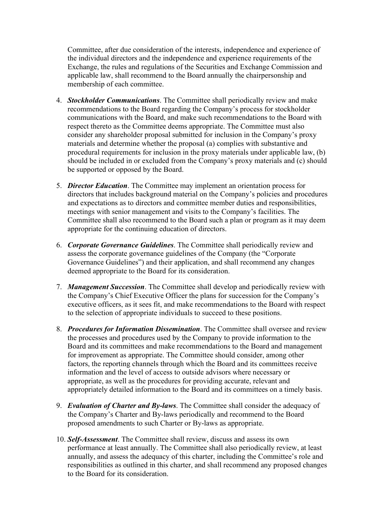Committee, after due consideration of the interests, independence and experience of the individual directors and the independence and experience requirements of the Exchange, the rules and regulations of the Securities and Exchange Commission and applicable law, shall recommend to the Board annually the chairpersonship and membership of each committee.

- 4. *Stockholder Communications*. The Committee shall periodically review and make recommendations to the Board regarding the Company's process for stockholder communications with the Board, and make such recommendations to the Board with respect thereto as the Committee deems appropriate. The Committee must also consider any shareholder proposal submitted for inclusion in the Company's proxy materials and determine whether the proposal (a) complies with substantive and procedural requirements for inclusion in the proxy materials under applicable law, (b) should be included in or excluded from the Company's proxy materials and (c) should be supported or opposed by the Board.
- 5. *Director Education*. The Committee may implement an orientation process for directors that includes background material on the Company's policies and procedures and expectations as to directors and committee member duties and responsibilities, meetings with senior management and visits to the Company's facilities. The Committee shall also recommend to the Board such a plan or program as it may deem appropriate for the continuing education of directors.
- 6. *Corporate Governance Guidelines*. The Committee shall periodically review and assess the corporate governance guidelines of the Company (the "Corporate Governance Guidelines") and their application, and shall recommend any changes deemed appropriate to the Board for its consideration.
- 7. *Management Succession*. The Committee shall develop and periodically review with the Company's Chief Executive Officer the plans for succession for the Company's executive officers, as it sees fit, and make recommendations to the Board with respect to the selection of appropriate individuals to succeed to these positions.
- 8. *Procedures for Information Dissemination*. The Committee shall oversee and review the processes and procedures used by the Company to provide information to the Board and its committees and make recommendations to the Board and management for improvement as appropriate. The Committee should consider, among other factors, the reporting channels through which the Board and its committees receive information and the level of access to outside advisors where necessary or appropriate, as well as the procedures for providing accurate, relevant and appropriately detailed information to the Board and its committees on a timely basis.
- 9. *Evaluation of Charter and By-laws*. The Committee shall consider the adequacy of the Company's Charter and By-laws periodically and recommend to the Board proposed amendments to such Charter or By-laws as appropriate.
- 10. *Self-Assessment*. The Committee shall review, discuss and assess its own performance at least annually. The Committee shall also periodically review, at least annually, and assess the adequacy of this charter, including the Committee's role and responsibilities as outlined in this charter, and shall recommend any proposed changes to the Board for its consideration.